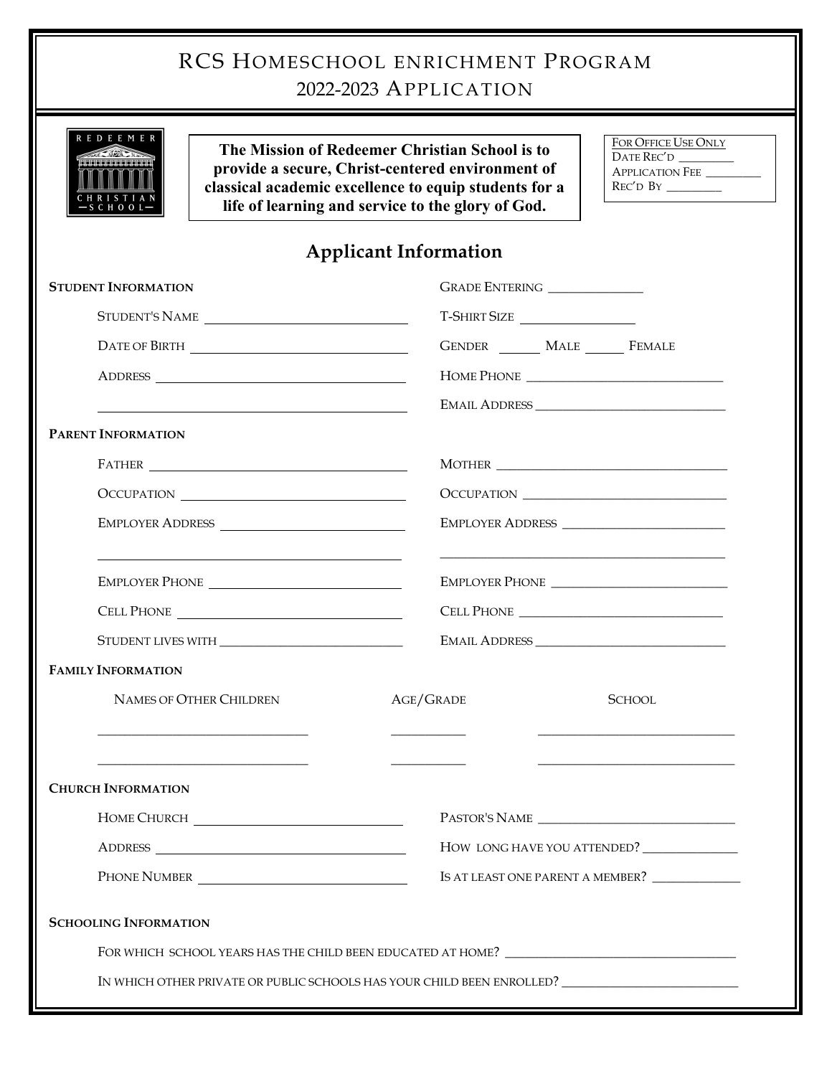| RCS HOMESCHOOL ENRICHMENT PROGRAM<br>2022-2023 APPLICATION                                                                                                                                                                                   |                                                      |
|----------------------------------------------------------------------------------------------------------------------------------------------------------------------------------------------------------------------------------------------|------------------------------------------------------|
| <b>REDEEMER</b><br>The Mission of Redeemer Christian School is to<br>provide a secure, Christ-centered environment of<br>classical academic excellence to equip students for a<br>life of learning and service to the glory of God.<br>HOOL  | FOR OFFICE USE ONLY<br>DATE REC'D<br>APPLICATION FEE |
| <b>Applicant Information</b>                                                                                                                                                                                                                 |                                                      |
| <b>STUDENT INFORMATION</b>                                                                                                                                                                                                                   | GRADE ENTERING ________________                      |
| STUDENT'S NAME                                                                                                                                                                                                                               | T-SHIRT SIZE                                         |
|                                                                                                                                                                                                                                              | GENDER _______ MALE ______ FEMALE                    |
|                                                                                                                                                                                                                                              |                                                      |
| <u> 1980 - Jan Samuel Barbara, martin da shekara 1980 - An tsara 1980 - An tsara 1980 - An tsara 1980 - An tsara</u>                                                                                                                         |                                                      |
| <b>PARENT INFORMATION</b>                                                                                                                                                                                                                    |                                                      |
| $\begin{tabular}{c} FATHER \begin{tabular}{@{}c@{}} \quad {\bf \textcolor{red}{\bf{2.5}}\end{tabular} \end{tabular} \end{tabular}$                                                                                                           |                                                      |
| OCCUPATION                                                                                                                                                                                                                                   |                                                      |
| EMPLOYER ADDRESS                                                                                                                                                                                                                             | EMPLOYER ADDRESS                                     |
| EMPLOYER PHONE CONTROLLER TO A CONTROLLER TO A CONTROLLER TO A CONTROLLER TO A CONTROLLER TO A CONTROLLER TO A CONTROLLER THAT A CONTROLLER THAT A CONTROLLER THAT A CONTROLLER THAT A CONTROLLER THAT A CONTROLLER THAT A CON<br>CELL PHONE | <b>CELL PHONE</b>                                    |
| <b>STUDENT LIVES WITH</b>                                                                                                                                                                                                                    | <b>EMAIL ADDRESS</b>                                 |
| <b>FAMILY INFORMATION</b>                                                                                                                                                                                                                    |                                                      |
| NAMES OF OTHER CHILDREN                                                                                                                                                                                                                      | AGE/GRADE<br><b>SCHOOL</b>                           |
| <b>CHURCH INFORMATION</b>                                                                                                                                                                                                                    |                                                      |
|                                                                                                                                                                                                                                              |                                                      |
|                                                                                                                                                                                                                                              | HOW LONG HAVE YOU ATTENDED?                          |
| PHONE NUMBER                                                                                                                                                                                                                                 | IS AT LEAST ONE PARENT A MEMBER?                     |
| <b>SCHOOLING INFORMATION</b>                                                                                                                                                                                                                 |                                                      |
|                                                                                                                                                                                                                                              |                                                      |
| IN WHICH OTHER PRIVATE OR PUBLIC SCHOOLS HAS YOUR CHILD BEEN ENROLLED?                                                                                                                                                                       |                                                      |